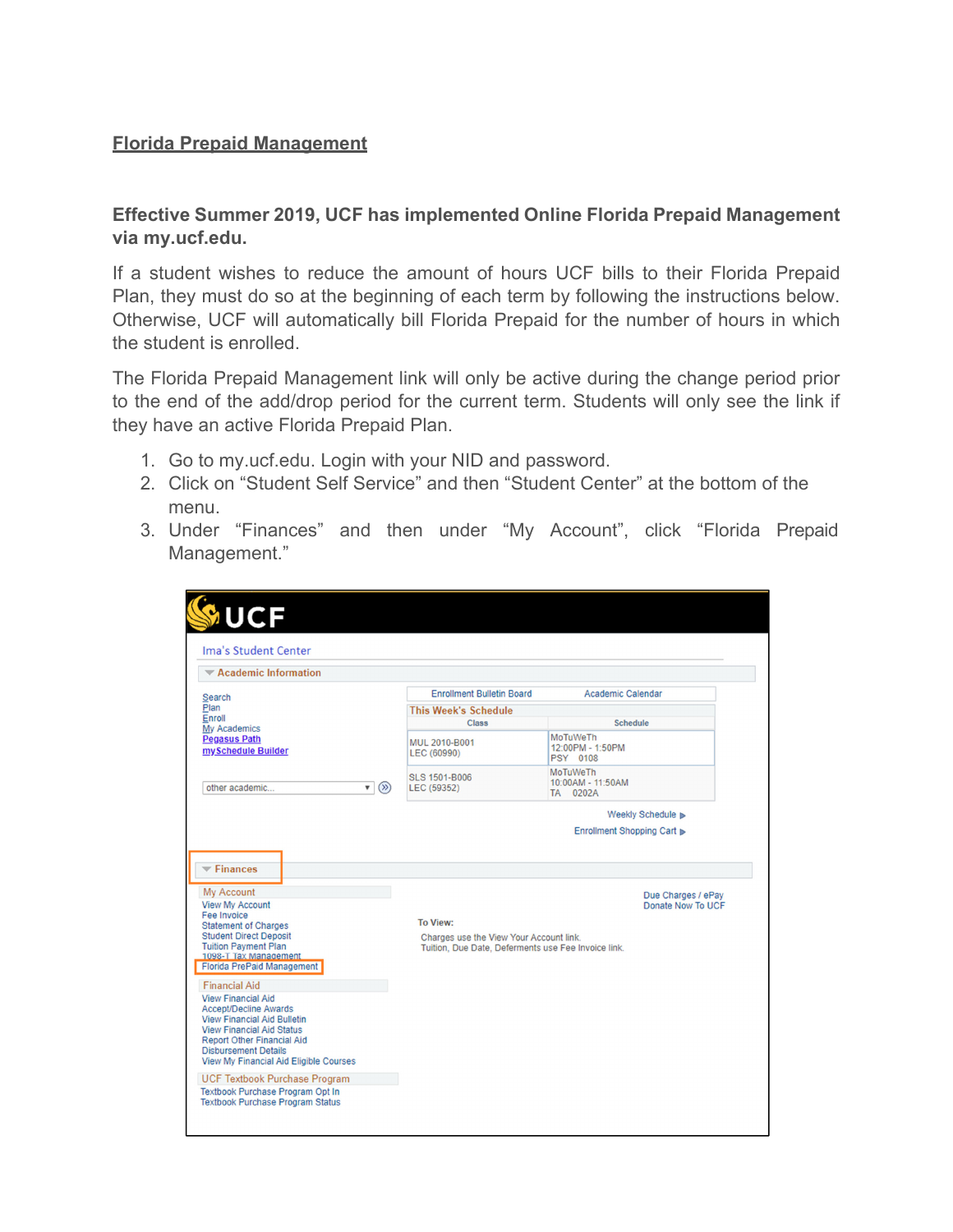## **Florida Prepaid Management**

## **Effective Summer 2019, UCF has implemented Online Florida Prepaid Management via my.ucf.edu.**

If a student wishes to reduce the amount of hours UCF bills to their Florida Prepaid Plan, they must do so at the beginning of each term by following the instructions below. Otherwise, UCF will automatically bill Florida Prepaid for the number of hours in which the student is enrolled.

The Florida Prepaid Management link will only be active during the change period prior to the end of the add/drop period for the current term. Students will only see the link if they have an active Florida Prepaid Plan.

- 1. Go to my.ucf.edu. Login with your NID and password.
- 2. Click on "Student Self Service" and then "Student Center" at the bottom of the menu.
- 3. Under "Finances" and then under "My Account", click "Florida Prepaid Management."

| <b>Enrollment Bulletin Board</b><br><b>This Week's Schedule</b><br><b>Class</b>                            | <b>Academic Calendar</b>                         |                                                                                          |  |  |  |
|------------------------------------------------------------------------------------------------------------|--------------------------------------------------|------------------------------------------------------------------------------------------|--|--|--|
|                                                                                                            |                                                  |                                                                                          |  |  |  |
|                                                                                                            |                                                  |                                                                                          |  |  |  |
|                                                                                                            | <b>Schedule</b>                                  |                                                                                          |  |  |  |
| MUL 2010-B001<br>LEC (60990)                                                                               | MoTuWeTh<br>12:00PM - 1:50PM<br>PSY 0108         |                                                                                          |  |  |  |
| <b>SLS 1501-B006</b><br>$\mathbf{v}$ (x)<br>LEC (59352)                                                    | <b>MoTuWeTh</b><br>10:00AM - 11:50AM<br>TA 0202A |                                                                                          |  |  |  |
|                                                                                                            |                                                  |                                                                                          |  |  |  |
|                                                                                                            |                                                  |                                                                                          |  |  |  |
| To View:<br>Charges use the View Your Account link.<br>Tuition, Due Date, Deferments use Fee Invoice link. |                                                  |                                                                                          |  |  |  |
|                                                                                                            |                                                  |                                                                                          |  |  |  |
|                                                                                                            |                                                  |                                                                                          |  |  |  |
|                                                                                                            |                                                  |                                                                                          |  |  |  |
|                                                                                                            |                                                  | Weekly Schedule D<br>Enrollment Shopping Cart<br>Due Charges / ePay<br>Donate Now To UCF |  |  |  |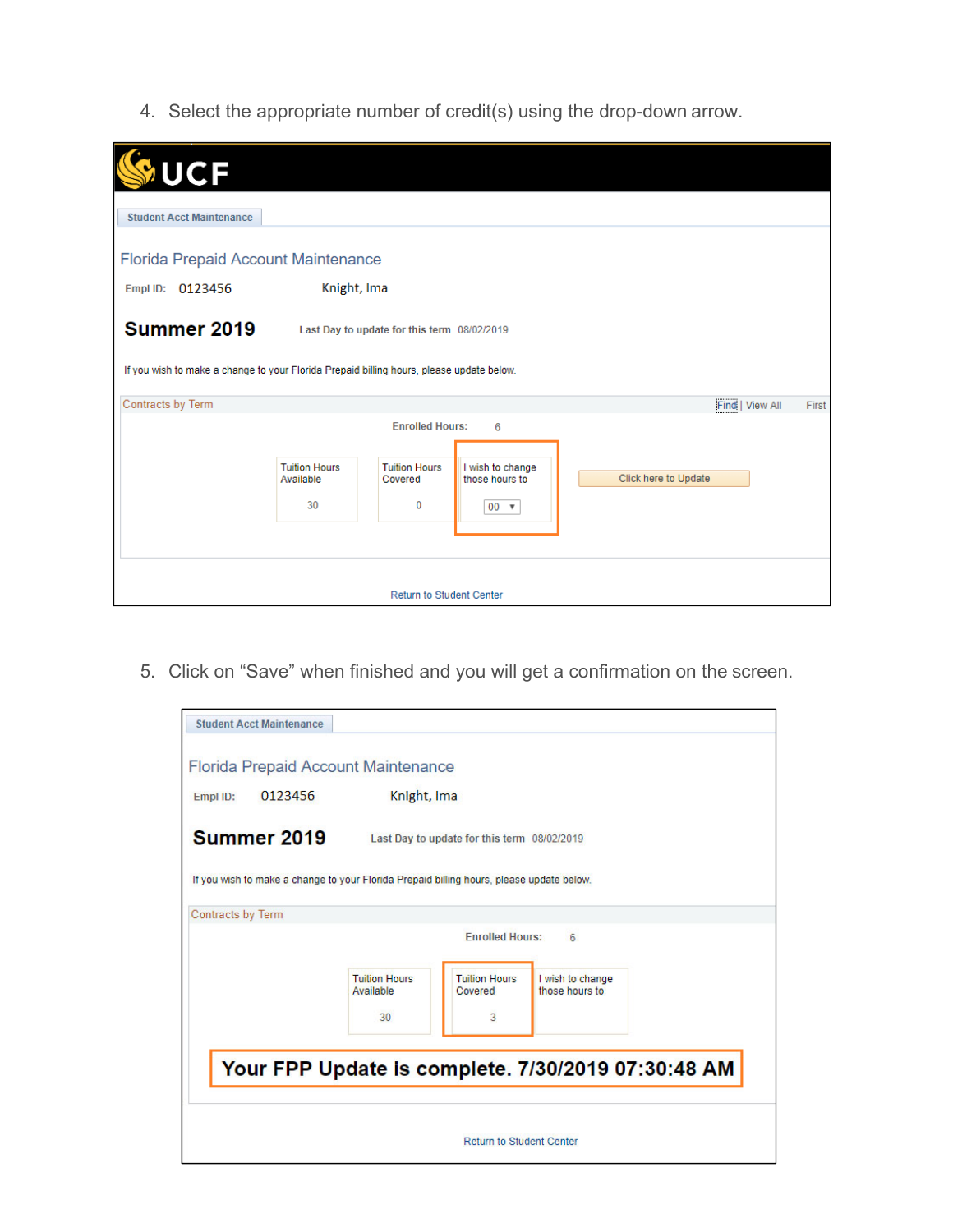4. Select the appropriate number of credit(s) using the drop-down arrow.

| UCF                                                                                      |                                   |                                             |                                    |                      |                 |       |
|------------------------------------------------------------------------------------------|-----------------------------------|---------------------------------------------|------------------------------------|----------------------|-----------------|-------|
|                                                                                          |                                   |                                             |                                    |                      |                 |       |
| <b>Student Acct Maintenance</b>                                                          |                                   |                                             |                                    |                      |                 |       |
|                                                                                          |                                   |                                             |                                    |                      |                 |       |
| Florida Prepaid Account Maintenance                                                      |                                   |                                             |                                    |                      |                 |       |
| Empl ID: 0123456                                                                         | Knight, Ima                       |                                             |                                    |                      |                 |       |
|                                                                                          |                                   |                                             |                                    |                      |                 |       |
| Summer 2019                                                                              |                                   | Last Day to update for this term 08/02/2019 |                                    |                      |                 |       |
|                                                                                          |                                   |                                             |                                    |                      |                 |       |
| If you wish to make a change to your Florida Prepaid billing hours, please update below. |                                   |                                             |                                    |                      |                 |       |
| Contracts by Term                                                                        |                                   |                                             |                                    |                      | Find   View All | First |
|                                                                                          |                                   | <b>Enrolled Hours:</b>                      | 6                                  |                      |                 |       |
|                                                                                          |                                   |                                             |                                    |                      |                 |       |
|                                                                                          | <b>Tuition Hours</b><br>Available | <b>Tuition Hours</b><br>Covered             | I wish to change<br>those hours to | Click here to Update |                 |       |
|                                                                                          | 30                                | $\bf{0}$                                    | $00 \times$                        |                      |                 |       |
|                                                                                          |                                   |                                             |                                    |                      |                 |       |
|                                                                                          |                                   |                                             |                                    |                      |                 |       |
|                                                                                          |                                   |                                             |                                    |                      |                 |       |
|                                                                                          |                                   | <b>Return to Student Center</b>             |                                    |                      |                 |       |

5. Click on "Save" when finished and you will get a confirmation on the screen.

|                          |         | Florida Prepaid Account Maintenance |                                                                                          |                                    |  |  |
|--------------------------|---------|-------------------------------------|------------------------------------------------------------------------------------------|------------------------------------|--|--|
| Empl ID:                 | 0123456 | Knight, Ima                         |                                                                                          |                                    |  |  |
| Summer 2019              |         |                                     | Last Day to update for this term 08/02/2019                                              |                                    |  |  |
|                          |         |                                     | If you wish to make a change to your Florida Prepaid billing hours, please update below. |                                    |  |  |
| <b>Contracts by Term</b> |         |                                     |                                                                                          |                                    |  |  |
|                          |         |                                     | <b>Enrolled Hours:</b>                                                                   | 6                                  |  |  |
|                          |         | <b>Tuilion Hours</b><br>Available   | <b>Tuition Hours</b><br>Covered                                                          | I wish to change<br>those hours to |  |  |
|                          |         | 30                                  | 3                                                                                        |                                    |  |  |